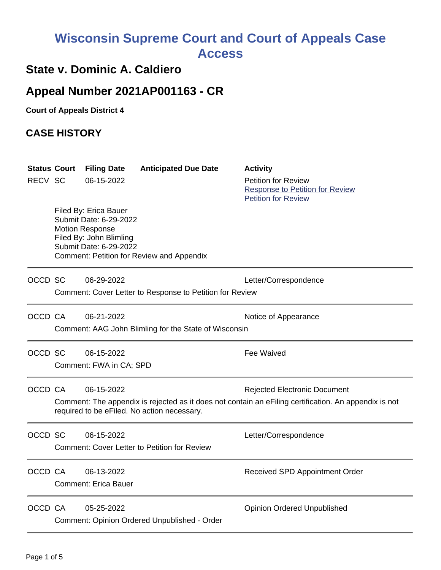# **Wisconsin Supreme Court and Court of Appeals Case Access**

### **State v. Dominic A. Caldiero**

## **Appeal Number 2021AP001163 - CR**

**Court of Appeals District 4**

#### **CASE HISTORY**

| RECV SC | <b>Status Court</b> | <b>Filing Date</b><br>06-15-2022                                                                                               | <b>Anticipated Due Date</b>                              | <b>Activity</b><br><b>Petition for Review</b>                                                                                                |
|---------|---------------------|--------------------------------------------------------------------------------------------------------------------------------|----------------------------------------------------------|----------------------------------------------------------------------------------------------------------------------------------------------|
|         |                     |                                                                                                                                |                                                          | <b>Response to Petition for Review</b><br><b>Petition for Review</b>                                                                         |
|         |                     | Filed By: Erica Bauer<br>Submit Date: 6-29-2022<br><b>Motion Response</b><br>Filed By: John Blimling<br>Submit Date: 6-29-2022 | Comment: Petition for Review and Appendix                |                                                                                                                                              |
| OCCD SC |                     | 06-29-2022                                                                                                                     | Comment: Cover Letter to Response to Petition for Review | Letter/Correspondence                                                                                                                        |
| OCCD CA |                     | 06-21-2022                                                                                                                     | Comment: AAG John Blimling for the State of Wisconsin    | Notice of Appearance                                                                                                                         |
| OCCD SC |                     | 06-15-2022<br>Comment: FWA in CA; SPD                                                                                          |                                                          | <b>Fee Waived</b>                                                                                                                            |
| OCCD CA |                     | 06-15-2022                                                                                                                     | required to be eFiled. No action necessary.              | <b>Rejected Electronic Document</b><br>Comment: The appendix is rejected as it does not contain an eFiling certification. An appendix is not |
| OCCD SC |                     | 06-15-2022                                                                                                                     | <b>Comment: Cover Letter to Petition for Review</b>      | Letter/Correspondence                                                                                                                        |
|         | OCCD CA             | 06-13-2022<br><b>Comment: Erica Bauer</b>                                                                                      |                                                          | Received SPD Appointment Order                                                                                                               |
| OCCD CA |                     | 05-25-2022                                                                                                                     | Comment: Opinion Ordered Unpublished - Order             | <b>Opinion Ordered Unpublished</b>                                                                                                           |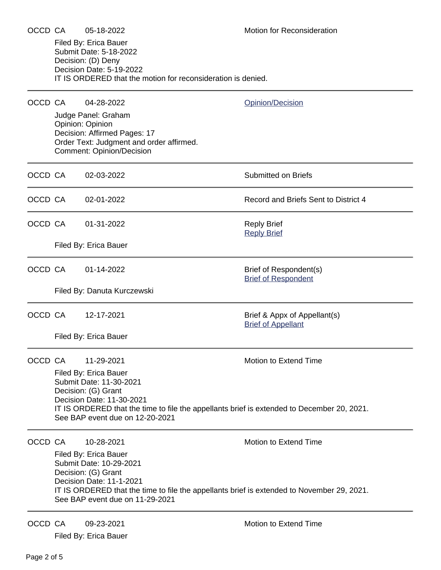|         | Filed By: Erica Bauer<br>Submit Date: 5-18-2022<br>Decision: (D) Deny<br>Decision Date: 5-19-2022<br>IT IS ORDERED that the motion for reconsideration is denied.                                                                                                                   |                                                                                                                                                                       |                                                           |  |  |  |
|---------|-------------------------------------------------------------------------------------------------------------------------------------------------------------------------------------------------------------------------------------------------------------------------------------|-----------------------------------------------------------------------------------------------------------------------------------------------------------------------|-----------------------------------------------------------|--|--|--|
| OCCD CA |                                                                                                                                                                                                                                                                                     | 04-28-2022<br>Judge Panel: Graham<br>Opinion: Opinion<br>Decision: Affirmed Pages: 17<br>Order Text: Judgment and order affirmed.<br><b>Comment: Opinion/Decision</b> | Opinion/Decision                                          |  |  |  |
| OCCD CA |                                                                                                                                                                                                                                                                                     | 02-03-2022                                                                                                                                                            | <b>Submitted on Briefs</b>                                |  |  |  |
| OCCD CA |                                                                                                                                                                                                                                                                                     | 02-01-2022                                                                                                                                                            | Record and Briefs Sent to District 4                      |  |  |  |
| OCCD CA |                                                                                                                                                                                                                                                                                     | 01-31-2022<br>Filed By: Erica Bauer                                                                                                                                   | <b>Reply Brief</b><br><b>Reply Brief</b>                  |  |  |  |
| OCCD CA |                                                                                                                                                                                                                                                                                     | 01-14-2022<br>Filed By: Danuta Kurczewski                                                                                                                             | Brief of Respondent(s)<br><b>Brief of Respondent</b>      |  |  |  |
|         | OCCD CA                                                                                                                                                                                                                                                                             | 12-17-2021<br>Filed By: Erica Bauer                                                                                                                                   | Brief & Appx of Appellant(s)<br><b>Brief of Appellant</b> |  |  |  |
| OCCD CA | 11-29-2021<br><b>Motion to Extend Time</b><br>Filed By: Erica Bauer<br>Submit Date: 11-30-2021<br>Decision: (G) Grant<br>Decision Date: 11-30-2021<br>IT IS ORDERED that the time to file the appellants brief is extended to December 20, 2021.<br>See BAP event due on 12-20-2021 |                                                                                                                                                                       |                                                           |  |  |  |
| OCCD CA | 10-28-2021<br>Filed By: Erica Bauer<br>Submit Date: 10-29-2021<br>Decision: (G) Grant<br>Decision Date: 11-1-2021<br>IT IS ORDERED that the time to file the appellants brief is extended to November 29, 2021.<br>See BAP event due on 11-29-2021                                  |                                                                                                                                                                       | Motion to Extend Time                                     |  |  |  |
| OCCD CA |                                                                                                                                                                                                                                                                                     | 09-23-2021<br>Filed By: Erica Bauer                                                                                                                                   | <b>Motion to Extend Time</b>                              |  |  |  |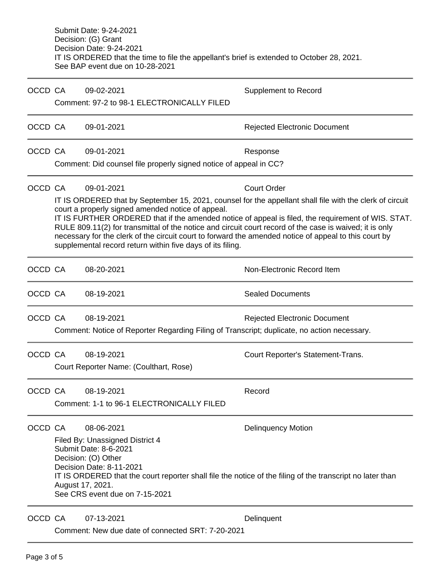Submit Date: 9-24-2021 Decision: (G) Grant Decision Date: 9-24-2021 IT IS ORDERED that the time to file the appellant's brief is extended to October 28, 2021. See BAP event due on 10-28-2021

| OCCD CA |                                                                                                                                                                                                                                                                                                                                                                                                                                                                                                                                                       | 09-02-2021                                                                                                                                                                                                                                                                     | <b>Supplement to Record</b>         |  |  |  |
|---------|-------------------------------------------------------------------------------------------------------------------------------------------------------------------------------------------------------------------------------------------------------------------------------------------------------------------------------------------------------------------------------------------------------------------------------------------------------------------------------------------------------------------------------------------------------|--------------------------------------------------------------------------------------------------------------------------------------------------------------------------------------------------------------------------------------------------------------------------------|-------------------------------------|--|--|--|
|         | Comment: 97-2 to 98-1 ELECTRONICALLY FILED                                                                                                                                                                                                                                                                                                                                                                                                                                                                                                            |                                                                                                                                                                                                                                                                                |                                     |  |  |  |
| OCCD CA |                                                                                                                                                                                                                                                                                                                                                                                                                                                                                                                                                       | 09-01-2021                                                                                                                                                                                                                                                                     | <b>Rejected Electronic Document</b> |  |  |  |
| OCCD CA |                                                                                                                                                                                                                                                                                                                                                                                                                                                                                                                                                       | 09-01-2021                                                                                                                                                                                                                                                                     | Response                            |  |  |  |
|         | Comment: Did counsel file properly signed notice of appeal in CC?                                                                                                                                                                                                                                                                                                                                                                                                                                                                                     |                                                                                                                                                                                                                                                                                |                                     |  |  |  |
| OCCD CA |                                                                                                                                                                                                                                                                                                                                                                                                                                                                                                                                                       | 09-01-2021                                                                                                                                                                                                                                                                     | <b>Court Order</b>                  |  |  |  |
|         | IT IS ORDERED that by September 15, 2021, counsel for the appellant shall file with the clerk of circuit<br>court a properly signed amended notice of appeal.<br>IT IS FURTHER ORDERED that if the amended notice of appeal is filed, the requirement of WIS. STAT.<br>RULE 809.11(2) for transmittal of the notice and circuit court record of the case is waived; it is only<br>necessary for the clerk of the circuit court to forward the amended notice of appeal to this court by<br>supplemental record return within five days of its filing. |                                                                                                                                                                                                                                                                                |                                     |  |  |  |
| OCCD CA |                                                                                                                                                                                                                                                                                                                                                                                                                                                                                                                                                       | 08-20-2021                                                                                                                                                                                                                                                                     | Non-Electronic Record Item          |  |  |  |
| OCCD CA |                                                                                                                                                                                                                                                                                                                                                                                                                                                                                                                                                       | 08-19-2021                                                                                                                                                                                                                                                                     | <b>Sealed Documents</b>             |  |  |  |
| OCCD CA |                                                                                                                                                                                                                                                                                                                                                                                                                                                                                                                                                       | 08-19-2021                                                                                                                                                                                                                                                                     | <b>Rejected Electronic Document</b> |  |  |  |
|         |                                                                                                                                                                                                                                                                                                                                                                                                                                                                                                                                                       | Comment: Notice of Reporter Regarding Filing of Transcript; duplicate, no action necessary.                                                                                                                                                                                    |                                     |  |  |  |
| OCCD CA |                                                                                                                                                                                                                                                                                                                                                                                                                                                                                                                                                       | 08-19-2021                                                                                                                                                                                                                                                                     | Court Reporter's Statement-Trans.   |  |  |  |
|         |                                                                                                                                                                                                                                                                                                                                                                                                                                                                                                                                                       | Court Reporter Name: (Coulthart, Rose)                                                                                                                                                                                                                                         |                                     |  |  |  |
| OCCD CA |                                                                                                                                                                                                                                                                                                                                                                                                                                                                                                                                                       | 08-19-2021                                                                                                                                                                                                                                                                     | Record                              |  |  |  |
|         |                                                                                                                                                                                                                                                                                                                                                                                                                                                                                                                                                       | Comment: 1-1 to 96-1 ELECTRONICALLY FILED                                                                                                                                                                                                                                      |                                     |  |  |  |
| OCCD CA |                                                                                                                                                                                                                                                                                                                                                                                                                                                                                                                                                       | 08-06-2021                                                                                                                                                                                                                                                                     | <b>Delinquency Motion</b>           |  |  |  |
|         |                                                                                                                                                                                                                                                                                                                                                                                                                                                                                                                                                       | Filed By: Unassigned District 4<br>Submit Date: 8-6-2021<br>Decision: (O) Other<br>Decision Date: 8-11-2021<br>IT IS ORDERED that the court reporter shall file the notice of the filing of the transcript no later than<br>August 17, 2021.<br>See CRS event due on 7-15-2021 |                                     |  |  |  |
| OCCD CA |                                                                                                                                                                                                                                                                                                                                                                                                                                                                                                                                                       | 07-13-2021<br>Comment: New due date of connected SRT: 7-20-2021                                                                                                                                                                                                                | Delinquent                          |  |  |  |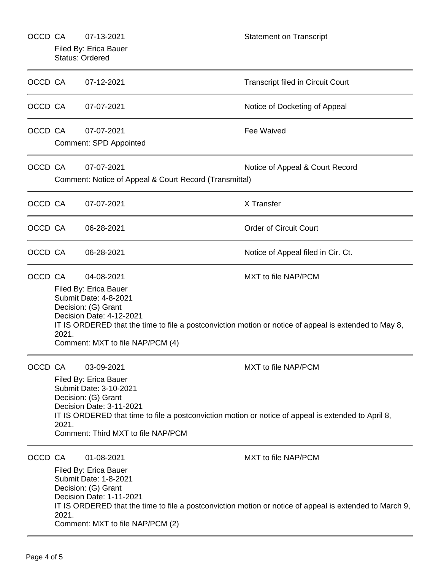| OCCD CA |                                                                                                                                                                                                                                                                                               | 07-13-2021<br>Filed By: Erica Bauer<br><b>Status: Ordered</b>                                                                                                                                                                                                                       | <b>Statement on Transcript</b>                                                                                                 |  |
|---------|-----------------------------------------------------------------------------------------------------------------------------------------------------------------------------------------------------------------------------------------------------------------------------------------------|-------------------------------------------------------------------------------------------------------------------------------------------------------------------------------------------------------------------------------------------------------------------------------------|--------------------------------------------------------------------------------------------------------------------------------|--|
| OCCD CA |                                                                                                                                                                                                                                                                                               | 07-12-2021                                                                                                                                                                                                                                                                          | <b>Transcript filed in Circuit Court</b>                                                                                       |  |
| OCCD CA |                                                                                                                                                                                                                                                                                               | 07-07-2021                                                                                                                                                                                                                                                                          | Notice of Docketing of Appeal                                                                                                  |  |
| OCCD CA |                                                                                                                                                                                                                                                                                               | 07-07-2021<br><b>Comment: SPD Appointed</b>                                                                                                                                                                                                                                         | Fee Waived                                                                                                                     |  |
| OCCD CA |                                                                                                                                                                                                                                                                                               | 07-07-2021<br>Comment: Notice of Appeal & Court Record (Transmittal)                                                                                                                                                                                                                | Notice of Appeal & Court Record                                                                                                |  |
| OCCD CA |                                                                                                                                                                                                                                                                                               | 07-07-2021                                                                                                                                                                                                                                                                          | X Transfer                                                                                                                     |  |
| OCCD CA |                                                                                                                                                                                                                                                                                               | 06-28-2021                                                                                                                                                                                                                                                                          | <b>Order of Circuit Court</b>                                                                                                  |  |
| OCCD CA |                                                                                                                                                                                                                                                                                               | 06-28-2021                                                                                                                                                                                                                                                                          | Notice of Appeal filed in Cir. Ct.                                                                                             |  |
| OCCD CA | 2021.                                                                                                                                                                                                                                                                                         | 04-08-2021<br>MXT to file NAP/PCM<br>Filed By: Erica Bauer<br>Submit Date: 4-8-2021<br>Decision: (G) Grant<br>Decision Date: 4-12-2021<br>IT IS ORDERED that the time to file a postconviction motion or notice of appeal is extended to May 8,<br>Comment: MXT to file NAP/PCM (4) |                                                                                                                                |  |
| OCCD CA | MXT to file NAP/PCM<br>03-09-2021<br>Filed By: Erica Bauer<br>Submit Date: 3-10-2021<br>Decision: (G) Grant<br>Decision Date: 3-11-2021<br>IT IS ORDERED that time to file a postconviction motion or notice of appeal is extended to April 8,<br>2021.<br>Comment: Third MXT to file NAP/PCM |                                                                                                                                                                                                                                                                                     |                                                                                                                                |  |
| OCCD CA | 2021.                                                                                                                                                                                                                                                                                         | 01-08-2021<br>Filed By: Erica Bauer<br>Submit Date: 1-8-2021<br>Decision: (G) Grant<br>Decision Date: 1-11-2021<br>Comment: MXT to file NAP/PCM (2)                                                                                                                                 | MXT to file NAP/PCM<br>IT IS ORDERED that the time to file a postconviction motion or notice of appeal is extended to March 9, |  |